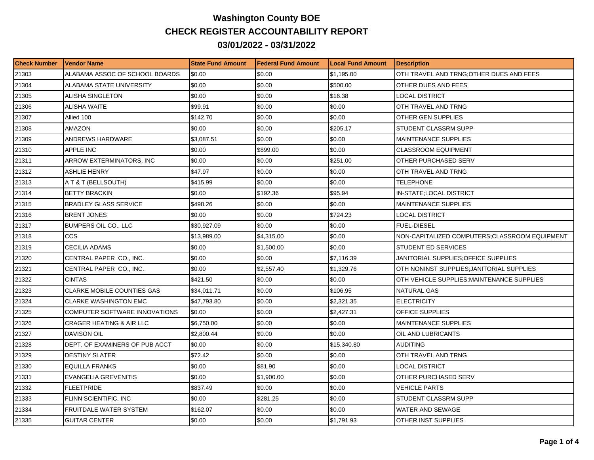## **Washington County BOE CHECK REGISTER ACCOUNTABILITY REPORT 03/01/2022 - 03/31/2022**

| <b>Check Number</b> | <b>Vendor Name</b>                  | <b>State Fund Amount</b> | l Federal Fund Amount | <b>ILocal Fund Amount</b> | <b>Description</b>                            |
|---------------------|-------------------------------------|--------------------------|-----------------------|---------------------------|-----------------------------------------------|
| 21303               | ALABAMA ASSOC OF SCHOOL BOARDS      | \$0.00                   | \$0.00                | \$1,195.00                | OTH TRAVEL AND TRNG;OTHER DUES AND FEES       |
| 21304               | ALABAMA STATE UNIVERSITY            | \$0.00                   | \$0.00                | \$500.00                  | OTHER DUES AND FEES                           |
| 21305               | ALISHA SINGLETON                    | \$0.00                   | \$0.00                | \$16.38                   | LOCAL DISTRICT                                |
| 21306               | <b>ALISHA WAITE</b>                 | \$99.91                  | \$0.00                | \$0.00                    | OTH TRAVEL AND TRNG                           |
| 21307               | Allied 100                          | \$142.70                 | \$0.00                | \$0.00                    | OTHER GEN SUPPLIES                            |
| 21308               | AMAZON                              | \$0.00                   | \$0.00                | \$205.17                  | STUDENT CLASSRM SUPP                          |
| 21309               | ANDREWS HARDWARE                    | \$3,087.51               | \$0.00                | \$0.00                    | <b>MAINTENANCE SUPPLIES</b>                   |
| 21310               | <b>APPLE INC</b>                    | \$0.00                   | \$899.00              | \$0.00                    | <b>CLASSROOM EQUIPMENT</b>                    |
| 21311               | ARROW EXTERMINATORS, INC            | \$0.00                   | \$0.00                | \$251.00                  | OTHER PURCHASED SERV                          |
| 21312               | ASHLIE HENRY                        | \$47.97                  | \$0.00                | \$0.00                    | OTH TRAVEL AND TRNG                           |
| 21313               | A T & T (BELLSOUTH)                 | \$415.99                 | \$0.00                | \$0.00                    | TELEPHONE                                     |
| 21314               | <b>BETTY BRACKIN</b>                | \$0.00                   | \$192.36              | \$95.94                   | IN-STATE;LOCAL DISTRICT                       |
| 21315               | <b>BRADLEY GLASS SERVICE</b>        | \$498.26                 | \$0.00                | \$0.00                    | <b>MAINTENANCE SUPPLIES</b>                   |
| 21316               | <b>BRENT JONES</b>                  | \$0.00                   | \$0.00                | \$724.23                  | LOCAL DISTRICT                                |
| 21317               | <b>BUMPERS OIL CO., LLC</b>         | \$30,927.09              | \$0.00                | \$0.00                    | <b>FUEL-DIESEL</b>                            |
| 21318               | <b>CCS</b>                          | \$13,989.00              | \$4,315.00            | \$0.00                    | NON-CAPITALIZED COMPUTERS;CLASSROOM EQUIPMENT |
| 21319               | CECILIA ADAMS                       | \$0.00                   | \$1,500.00            | \$0.00                    | <b>STUDENT ED SERVICES</b>                    |
| 21320               | CENTRAL PAPER CO., INC.             | \$0.00                   | \$0.00                | \$7,116.39                | JANITORIAL SUPPLIES:OFFICE SUPPLIES           |
| 21321               | CENTRAL PAPER CO., INC.             | \$0.00                   | \$2,557.40            | \$1,329.76                | OTH NONINST SUPPLIES; JANITORIAL SUPPLIES     |
| 21322               | <b>CINTAS</b>                       | \$421.50                 | \$0.00                | \$0.00                    | OTH VEHICLE SUPPLIES; MAINTENANCE SUPPLIES    |
| 21323               | <b>CLARKE MOBILE COUNTIES GAS</b>   | \$34,011.71              | \$0.00                | \$106.95                  | <b>NATURAL GAS</b>                            |
| 21324               | <b>CLARKE WASHINGTON EMC</b>        | \$47,793.80              | \$0.00                | \$2,321.35                | <b>ELECTRICITY</b>                            |
| 21325               | COMPUTER SOFTWARE INNOVATIONS       | \$0.00                   | \$0.00                | \$2,427.31                | <b>OFFICE SUPPLIES</b>                        |
| 21326               | <b>CRAGER HEATING &amp; AIR LLC</b> | \$6,750.00               | \$0.00                | \$0.00                    | <b>MAINTENANCE SUPPLIES</b>                   |
| 21327               | <b>DAVISON OIL</b>                  | \$2,800.44               | \$0.00                | \$0.00                    | OIL AND LUBRICANTS                            |
| 21328               | DEPT. OF EXAMINERS OF PUB ACCT      | \$0.00                   | \$0.00                | \$15,340.80               | <b>AUDITING</b>                               |
| 21329               | DESTINY SLATER                      | \$72.42                  | \$0.00                | \$0.00                    | OTH TRAVEL AND TRNG                           |
| 21330               | <b>EQUILLA FRANKS</b>               | \$0.00                   | \$81.90               | \$0.00                    | <b>LOCAL DISTRICT</b>                         |
| 21331               | <b>EVANGELIA GREVENITIS</b>         | \$0.00                   | \$1,900.00            | \$0.00                    | OTHER PURCHASED SERV                          |
| 21332               | <b>FLEETPRIDE</b>                   | \$837.49                 | \$0.00                | \$0.00                    | <b>VEHICLE PARTS</b>                          |
| 21333               | FLINN SCIENTIFIC, INC               | \$0.00                   | \$281.25              | \$0.00                    | STUDENT CLASSRM SUPP                          |
| 21334               | FRUITDALE WATER SYSTEM              | \$162.07                 | \$0.00                | \$0.00                    | WATER AND SEWAGE                              |
| 21335               | <b>GUITAR CENTER</b>                | \$0.00                   | \$0.00                | \$1,791.93                | OTHER INST SUPPLIES                           |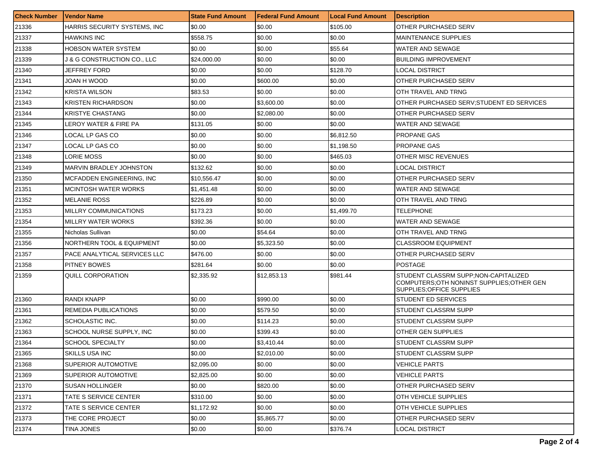| <b>Check Number</b> | <b>Vendor Name</b>           | <b>State Fund Amount</b> | Federal Fund Amount | <b>Local Fund Amount</b> | <b>Description</b>                                                                                               |
|---------------------|------------------------------|--------------------------|---------------------|--------------------------|------------------------------------------------------------------------------------------------------------------|
| 21336               | HARRIS SECURITY SYSTEMS, INC | \$0.00                   | \$0.00              | \$105.00                 | OTHER PURCHASED SERV                                                                                             |
| 21337               | <b>HAWKINS INC</b>           | \$558.75                 | \$0.00              | \$0.00                   | <b>MAINTENANCE SUPPLIES</b>                                                                                      |
| 21338               | <b>HOBSON WATER SYSTEM</b>   | \$0.00                   | \$0.00              | \$55.64                  | WATER AND SEWAGE                                                                                                 |
| 21339               | J & G CONSTRUCTION CO., LLC  | \$24,000.00              | \$0.00              | \$0.00                   | <b>BUILDING IMPROVEMENT</b>                                                                                      |
| 21340               | JEFFREY FORD                 | \$0.00                   | \$0.00              | \$128.70                 | LOCAL DISTRICT                                                                                                   |
| 21341               | JOAN H WOOD                  | \$0.00                   | \$600.00            | \$0.00                   | OTHER PURCHASED SERV                                                                                             |
| 21342               | <b>KRISTA WILSON</b>         | \$83.53                  | \$0.00              | \$0.00                   | OTH TRAVEL AND TRNG                                                                                              |
| 21343               | <b>KRISTEN RICHARDSON</b>    | \$0.00                   | \$3,600.00          | \$0.00                   | OTHER PURCHASED SERV:STUDENT ED SERVICES                                                                         |
| 21344               | <b>KRISTYE CHASTANG</b>      | \$0.00                   | \$2,080.00          | \$0.00                   | OTHER PURCHASED SERV                                                                                             |
| 21345               | LEROY WATER & FIRE PA        | \$131.05                 | \$0.00              | \$0.00                   | WATER AND SEWAGE                                                                                                 |
| 21346               | LOCAL LP GAS CO              | \$0.00                   | \$0.00              | \$6,812.50               | <b>PROPANE GAS</b>                                                                                               |
| 21347               | LOCAL LP GAS CO              | \$0.00                   | \$0.00              | \$1,198.50               | PROPANE GAS                                                                                                      |
| 21348               | LORIE MOSS                   | \$0.00                   | \$0.00              | \$465.03                 | OTHER MISC REVENUES                                                                                              |
| 21349               | MARVIN BRADLEY JOHNSTON      | \$132.62                 | \$0.00              | \$0.00                   | <b>LOCAL DISTRICT</b>                                                                                            |
| 21350               | MCFADDEN ENGINEERING, INC    | \$10,556.47              | \$0.00              | \$0.00                   | OTHER PURCHASED SERV                                                                                             |
| 21351               | <b>MCINTOSH WATER WORKS</b>  | \$1,451.48               | \$0.00              | \$0.00                   | <b>WATER AND SEWAGE</b>                                                                                          |
| 21352               | <b>MELANIE ROSS</b>          | \$226.89                 | \$0.00              | \$0.00                   | OTH TRAVEL AND TRNG                                                                                              |
| 21353               | MILLRY COMMUNICATIONS        | \$173.23                 | \$0.00              | \$1,499.70               | TELEPHONE                                                                                                        |
| 21354               | MILLRY WATER WORKS           | \$392.36                 | \$0.00              | \$0.00                   | WATER AND SEWAGE                                                                                                 |
| 21355               | Nicholas Sullivan            | \$0.00                   | \$54.64             | \$0.00                   | OTH TRAVEL AND TRNG                                                                                              |
| 21356               | NORTHERN TOOL & EQUIPMENT    | \$0.00                   | \$5,323.50          | \$0.00                   | <b>CLASSROOM EQUIPMENT</b>                                                                                       |
| 21357               | PACE ANALYTICAL SERVICES LLC | \$476.00                 | \$0.00              | \$0.00                   | OTHER PURCHASED SERV                                                                                             |
| 21358               | <b>PITNEY BOWES</b>          | \$281.64                 | \$0.00              | \$0.00                   | <b>POSTAGE</b>                                                                                                   |
| 21359               | QUILL CORPORATION            | \$2,335.92               | \$12,853.13         | \$981.44                 | STUDENT CLASSRM SUPP;NON-CAPITALIZED<br>COMPUTERS: OTH NONINST SUPPLIES: OTHER GEN<br>SUPPLIES; OF FICE SUPPLIES |
| 21360               | RANDI KNAPP                  | \$0.00                   | \$990.00            | \$0.00                   | STUDENT ED SERVICES                                                                                              |
| 21361               | REMEDIA PUBLICATIONS         | \$0.00                   | \$579.50            | \$0.00                   | STUDENT CLASSRM SUPP                                                                                             |
| 21362               | SCHOLASTIC INC.              | \$0.00                   | \$114.23            | \$0.00                   | STUDENT CLASSRM SUPP                                                                                             |
| 21363               | SCHOOL NURSE SUPPLY, INC     | \$0.00                   | \$399.43            | \$0.00                   | OTHER GEN SUPPLIES                                                                                               |
| 21364               | <b>SCHOOL SPECIALTY</b>      | \$0.00                   | \$3,410.44          | \$0.00                   | <b>STUDENT CLASSRM SUPP</b>                                                                                      |
| 21365               | <b>SKILLS USA INC</b>        | \$0.00                   | \$2,010.00          | \$0.00                   | STUDENT CLASSRM SUPP                                                                                             |
| 21368               | <b>SUPERIOR AUTOMOTIVE</b>   | \$2,095.00               | \$0.00              | \$0.00                   | <b>VEHICLE PARTS</b>                                                                                             |
| 21369               | SUPERIOR AUTOMOTIVE          | \$2,825.00               | \$0.00              | \$0.00                   | VEHICLE PARTS                                                                                                    |
| 21370               | <b>SUSAN HOLLINGER</b>       | \$0.00                   | \$820.00            | \$0.00                   | OTHER PURCHASED SERV                                                                                             |
| 21371               | TATE S SERVICE CENTER        | \$310.00                 | \$0.00              | \$0.00                   | <b>OTH VEHICLE SUPPLIES</b>                                                                                      |
| 21372               | TATE S SERVICE CENTER        | \$1,172.92               | \$0.00              | \$0.00                   | OTH VEHICLE SUPPLIES                                                                                             |
| 21373               | THE CORE PROJECT             | \$0.00                   | \$5,865.77          | \$0.00                   | OTHER PURCHASED SERV                                                                                             |
| 21374               | TINA JONES                   | \$0.00                   | \$0.00              | \$376.74                 | LOCAL DISTRICT                                                                                                   |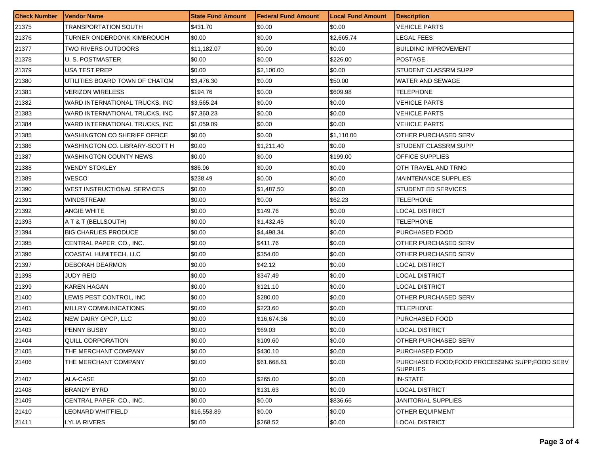| <b>Check Number</b> | <b>Vendor Name</b>                  | <b>State Fund Amount</b> | <b>Federal Fund Amount</b> | <b>Local Fund Amount</b> | <b>Description</b>                                               |
|---------------------|-------------------------------------|--------------------------|----------------------------|--------------------------|------------------------------------------------------------------|
| 21375               | TRANSPORTATION SOUTH                | \$431.70                 | \$0.00                     | \$0.00                   | VEHICLE PARTS                                                    |
| 21376               | TURNER ONDERDONK KIMBROUGH          | \$0.00                   | \$0.00                     | \$2,665.74               | LEGAL FEES                                                       |
| 21377               | TWO RIVERS OUTDOORS                 | \$11.182.07              | \$0.00                     | \$0.00                   | BUILDING IMPROVEMENT                                             |
| 21378               | U. S. POSTMASTER                    | \$0.00                   | \$0.00                     | \$226.00                 | <b>POSTAGE</b>                                                   |
| 21379               | USA TEST PREP                       | \$0.00                   | \$2,100.00                 | \$0.00                   | STUDENT CLASSRM SUPP                                             |
| 21380               | UTILITIES BOARD TOWN OF CHATOM      | \$3,476.30               | \$0.00                     | \$50.00                  | WATER AND SEWAGE                                                 |
| 21381               | VERIZON WIRELESS                    | \$194.76                 | \$0.00                     | \$609.98                 | TELEPHONE                                                        |
| 21382               | WARD INTERNATIONAL TRUCKS, INC      | \$3,565.24               | \$0.00                     | \$0.00                   | VEHICLE PARTS                                                    |
| 21383               | WARD INTERNATIONAL TRUCKS. INC.     | \$7,360.23               | \$0.00                     | \$0.00                   | VEHICLE PARTS                                                    |
| 21384               | WARD INTERNATIONAL TRUCKS, INC      | \$1,059.09               | \$0.00                     | \$0.00                   | VEHICLE PARTS                                                    |
| 21385               | <b>WASHINGTON CO SHERIFF OFFICE</b> | \$0.00                   | \$0.00                     | \$1,110.00               | OTHER PURCHASED SERV                                             |
| 21386               | WASHINGTON CO. LIBRARY-SCOTT H      | \$0.00                   | \$1,211.40                 | \$0.00                   | STUDENT CLASSRM SUPP                                             |
| 21387               | WASHINGTON COUNTY NEWS              | \$0.00                   | \$0.00                     | \$199.00                 | OFFICE SUPPLIES                                                  |
| 21388               | <b>WENDY STOKLEY</b>                | \$86.96                  | \$0.00                     | \$0.00                   | OTH TRAVEL AND TRNG                                              |
| 21389               | WESCO                               | \$238.49                 | \$0.00                     | \$0.00                   | MAINTENANCE SUPPLIES                                             |
| 21390               | WEST INSTRUCTIONAL SERVICES         | \$0.00                   | \$1,487.50                 | \$0.00                   | STUDENT ED SERVICES                                              |
| 21391               | WINDSTREAM                          | \$0.00                   | \$0.00                     | \$62.23                  | TELEPHONE                                                        |
| 21392               | <b>ANGIE WHITE</b>                  | \$0.00                   | \$149.76                   | \$0.00                   | LOCAL DISTRICT                                                   |
| 21393               | A T & T (BELLSOUTH)                 | \$0.00                   | \$1,432.45                 | \$0.00                   | TELEPHONE                                                        |
| 21394               | <b>BIG CHARLIES PRODUCE</b>         | \$0.00                   | \$4,498.34                 | \$0.00                   | PURCHASED FOOD                                                   |
| 21395               | CENTRAL PAPER CO., INC.             | \$0.00                   | \$411.76                   | \$0.00                   | OTHER PURCHASED SERV                                             |
| 21396               | COASTAL HUMITECH, LLC               | \$0.00                   | \$354.00                   | \$0.00                   | OTHER PURCHASED SERV                                             |
| 21397               | DEBORAH DEARMON                     | \$0.00                   | \$42.12                    | \$0.00                   | LOCAL DISTRICT                                                   |
| 21398               | JUDY REID                           | \$0.00                   | \$347.49                   | \$0.00                   | LOCAL DISTRICT                                                   |
| 21399               | KAREN HAGAN                         | \$0.00                   | \$121.10                   | \$0.00                   | LOCAL DISTRICT                                                   |
| 21400               | LEWIS PEST CONTROL, INC             | \$0.00                   | \$280.00                   | \$0.00                   | OTHER PURCHASED SERV                                             |
| 21401               | MILLRY COMMUNICATIONS               | \$0.00                   | \$223.60                   | \$0.00                   | TELEPHONE                                                        |
| 21402               | NEW DAIRY OPCP, LLC                 | \$0.00                   | \$16,674.36                | \$0.00                   | PURCHASED FOOD                                                   |
| 21403               | PENNY BUSBY                         | \$0.00                   | \$69.03                    | \$0.00                   | LOCAL DISTRICT                                                   |
| 21404               | <b>QUILL CORPORATION</b>            | \$0.00                   | \$109.60                   | \$0.00                   | OTHER PURCHASED SERV                                             |
| 21405               | THE MERCHANT COMPANY                | \$0.00                   | \$430.10                   | \$0.00                   | <b>PURCHASED FOOD</b>                                            |
| 21406               | THE MERCHANT COMPANY                | \$0.00                   | \$61,668.61                | \$0.00                   | PURCHASED FOOD FOOD PROCESSING SUPP:FOOD SERV<br><b>SUPPLIES</b> |
| 21407               | ALA-CASE                            | \$0.00                   | \$265.00                   | \$0.00                   | <b>IN-STATE</b>                                                  |
| 21408               | <b>BRANDY BYRD</b>                  | \$0.00                   | \$131.63                   | \$0.00                   | <b>LOCAL DISTRICT</b>                                            |
| 21409               | CENTRAL PAPER CO., INC.             | \$0.00                   | \$0.00                     | \$836.66                 | <b>JANITORIAL SUPPLIES</b>                                       |
| 21410               | <b>LEONARD WHITFIELD</b>            | \$16,553.89              | \$0.00                     | \$0.00                   | OTHER EQUIPMENT                                                  |
| 21411               | <b>LYLIA RIVERS</b>                 | \$0.00                   | \$268.52                   | \$0.00                   | <b>LOCAL DISTRICT</b>                                            |